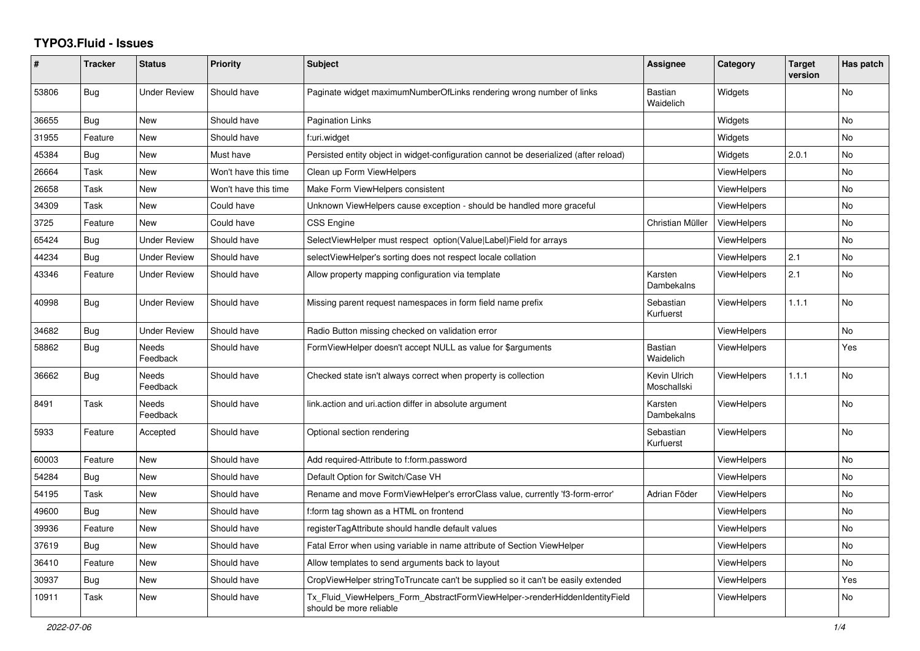## **TYPO3.Fluid - Issues**

| #     | <b>Tracker</b> | <b>Status</b>            | <b>Priority</b>      | <b>Subject</b>                                                                                         | <b>Assignee</b>             | Category           | <b>Target</b><br>version | Has patch |
|-------|----------------|--------------------------|----------------------|--------------------------------------------------------------------------------------------------------|-----------------------------|--------------------|--------------------------|-----------|
| 53806 | Bug            | Under Review             | Should have          | Paginate widget maximumNumberOfLinks rendering wrong number of links                                   | <b>Bastian</b><br>Waidelich | Widgets            |                          | No        |
| 36655 | <b>Bug</b>     | <b>New</b>               | Should have          | <b>Pagination Links</b>                                                                                |                             | Widgets            |                          | No        |
| 31955 | Feature        | <b>New</b>               | Should have          | f:uri.widget                                                                                           |                             | Widgets            |                          | No        |
| 45384 | Bug            | New                      | Must have            | Persisted entity object in widget-configuration cannot be deserialized (after reload)                  |                             | Widgets            | 2.0.1                    | No        |
| 26664 | Task           | New                      | Won't have this time | Clean up Form ViewHelpers                                                                              |                             | <b>ViewHelpers</b> |                          | No        |
| 26658 | Task           | New                      | Won't have this time | Make Form ViewHelpers consistent                                                                       |                             | <b>ViewHelpers</b> |                          | No        |
| 34309 | Task           | New                      | Could have           | Unknown ViewHelpers cause exception - should be handled more graceful                                  |                             | <b>ViewHelpers</b> |                          | No.       |
| 3725  | Feature        | New                      | Could have           | CSS Engine                                                                                             | Christian Müller            | <b>ViewHelpers</b> |                          | No        |
| 65424 | Bug            | <b>Under Review</b>      | Should have          | SelectViewHelper must respect option(Value Label)Field for arrays                                      |                             | <b>ViewHelpers</b> |                          | No        |
| 44234 | Bug            | <b>Under Review</b>      | Should have          | selectViewHelper's sorting does not respect locale collation                                           |                             | <b>ViewHelpers</b> | 2.1                      | No        |
| 43346 | Feature        | <b>Under Review</b>      | Should have          | Allow property mapping configuration via template                                                      | Karsten<br>Dambekalns       | <b>ViewHelpers</b> | 2.1                      | No        |
| 40998 | <b>Bug</b>     | <b>Under Review</b>      | Should have          | Missing parent request namespaces in form field name prefix                                            | Sebastian<br>Kurfuerst      | <b>ViewHelpers</b> | 1.1.1                    | No        |
| 34682 | <b>Bug</b>     | <b>Under Review</b>      | Should have          | Radio Button missing checked on validation error                                                       |                             | <b>ViewHelpers</b> |                          | No        |
| 58862 | Bug            | Needs<br>Feedback        | Should have          | FormViewHelper doesn't accept NULL as value for \$arguments                                            | <b>Bastian</b><br>Waidelich | <b>ViewHelpers</b> |                          | Yes       |
| 36662 | <b>Bug</b>     | <b>Needs</b><br>Feedback | Should have          | Checked state isn't always correct when property is collection                                         | Kevin Ulrich<br>Moschallski | <b>ViewHelpers</b> | 1.1.1                    | No        |
| 8491  | Task           | Needs<br>Feedback        | Should have          | link.action and uri.action differ in absolute argument                                                 | Karsten<br>Dambekalns       | <b>ViewHelpers</b> |                          | No        |
| 5933  | Feature        | Accepted                 | Should have          | Optional section rendering                                                                             | Sebastian<br>Kurfuerst      | <b>ViewHelpers</b> |                          | No        |
| 60003 | Feature        | New                      | Should have          | Add required-Attribute to f:form.password                                                              |                             | <b>ViewHelpers</b> |                          | No.       |
| 54284 | Bug            | New                      | Should have          | Default Option for Switch/Case VH                                                                      |                             | <b>ViewHelpers</b> |                          | No        |
| 54195 | Task           | New                      | Should have          | Rename and move FormViewHelper's errorClass value, currently 'f3-form-error'                           | Adrian Föder                | <b>ViewHelpers</b> |                          | No        |
| 49600 | <b>Bug</b>     | New                      | Should have          | f:form tag shown as a HTML on frontend                                                                 |                             | <b>ViewHelpers</b> |                          | No        |
| 39936 | Feature        | New                      | Should have          | registerTagAttribute should handle default values                                                      |                             | ViewHelpers        |                          | No        |
| 37619 | <b>Bug</b>     | New                      | Should have          | Fatal Error when using variable in name attribute of Section ViewHelper                                |                             | ViewHelpers        |                          | No        |
| 36410 | Feature        | New                      | Should have          | Allow templates to send arguments back to layout                                                       |                             | ViewHelpers        |                          | No        |
| 30937 | <b>Bug</b>     | New                      | Should have          | CropViewHelper stringToTruncate can't be supplied so it can't be easily extended                       |                             | ViewHelpers        |                          | Yes       |
| 10911 | Task           | New                      | Should have          | Tx Fluid ViewHelpers Form AbstractFormViewHelper->renderHiddenIdentityField<br>should be more reliable |                             | <b>ViewHelpers</b> |                          | No.       |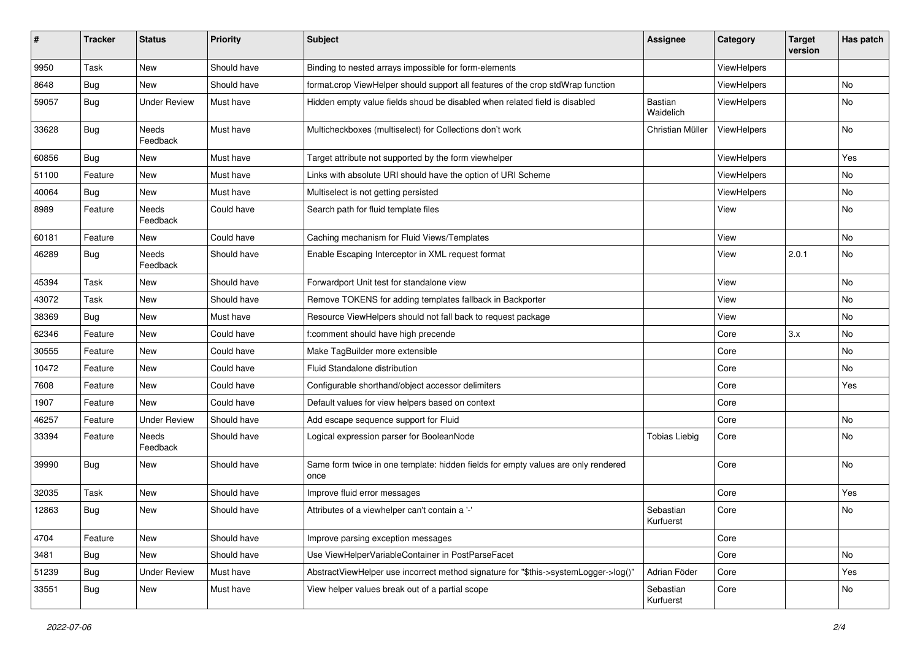| #     | <b>Tracker</b> | <b>Status</b>       | <b>Priority</b> | <b>Subject</b>                                                                            | <b>Assignee</b>        | Category    | <b>Target</b><br>version | Has patch |
|-------|----------------|---------------------|-----------------|-------------------------------------------------------------------------------------------|------------------------|-------------|--------------------------|-----------|
| 9950  | Task           | New                 | Should have     | Binding to nested arrays impossible for form-elements                                     |                        | ViewHelpers |                          |           |
| 8648  | Bug            | New                 | Should have     | format.crop ViewHelper should support all features of the crop stdWrap function           |                        | ViewHelpers |                          | No        |
| 59057 | Bug            | <b>Under Review</b> | Must have       | Hidden empty value fields shoud be disabled when related field is disabled                | Bastian<br>Waidelich   | ViewHelpers |                          | No        |
| 33628 | Bug            | Needs<br>Feedback   | Must have       | Multicheckboxes (multiselect) for Collections don't work                                  | Christian Müller       | ViewHelpers |                          | No        |
| 60856 | Bug            | New                 | Must have       | Target attribute not supported by the form viewhelper                                     |                        | ViewHelpers |                          | Yes       |
| 51100 | Feature        | New                 | Must have       | Links with absolute URI should have the option of URI Scheme                              |                        | ViewHelpers |                          | No        |
| 40064 | Bug            | New                 | Must have       | Multiselect is not getting persisted                                                      |                        | ViewHelpers |                          | No        |
| 8989  | Feature        | Needs<br>Feedback   | Could have      | Search path for fluid template files                                                      |                        | View        |                          | No        |
| 60181 | Feature        | New                 | Could have      | Caching mechanism for Fluid Views/Templates                                               |                        | View        |                          | <b>No</b> |
| 46289 | <b>Bug</b>     | Needs<br>Feedback   | Should have     | Enable Escaping Interceptor in XML request format                                         |                        | View        | 2.0.1                    | No        |
| 45394 | Task           | New                 | Should have     | Forwardport Unit test for standalone view                                                 |                        | View        |                          | No        |
| 43072 | Task           | New                 | Should have     | Remove TOKENS for adding templates fallback in Backporter                                 |                        | View        |                          | No        |
| 38369 | Bug            | New                 | Must have       | Resource ViewHelpers should not fall back to request package                              |                        | View        |                          | No        |
| 62346 | Feature        | New                 | Could have      | f:comment should have high precende                                                       |                        | Core        | 3.x                      | No        |
| 30555 | Feature        | New                 | Could have      | Make TagBuilder more extensible                                                           |                        | Core        |                          | No        |
| 10472 | Feature        | New                 | Could have      | Fluid Standalone distribution                                                             |                        | Core        |                          | <b>No</b> |
| 7608  | Feature        | New                 | Could have      | Configurable shorthand/object accessor delimiters                                         |                        | Core        |                          | Yes       |
| 1907  | Feature        | <b>New</b>          | Could have      | Default values for view helpers based on context                                          |                        | Core        |                          |           |
| 46257 | Feature        | <b>Under Review</b> | Should have     | Add escape sequence support for Fluid                                                     |                        | Core        |                          | No        |
| 33394 | Feature        | Needs<br>Feedback   | Should have     | Logical expression parser for BooleanNode                                                 | <b>Tobias Liebig</b>   | Core        |                          | No        |
| 39990 | Bug            | New                 | Should have     | Same form twice in one template: hidden fields for empty values are only rendered<br>once |                        | Core        |                          | No        |
| 32035 | Task           | New                 | Should have     | Improve fluid error messages                                                              |                        | Core        |                          | Yes       |
| 12863 | Bug            | New                 | Should have     | Attributes of a viewhelper can't contain a '-'                                            | Sebastian<br>Kurfuerst | Core        |                          | No        |
| 4704  | Feature        | New                 | Should have     | Improve parsing exception messages                                                        |                        | Core        |                          |           |
| 3481  | <b>Bug</b>     | New                 | Should have     | Use ViewHelperVariableContainer in PostParseFacet                                         |                        | Core        |                          | No        |
| 51239 | Bug            | <b>Under Review</b> | Must have       | AbstractViewHelper use incorrect method signature for "\$this->systemLogger->log()"       | Adrian Föder           | Core        |                          | Yes       |
| 33551 | Bug            | New                 | Must have       | View helper values break out of a partial scope                                           | Sebastian<br>Kurfuerst | Core        |                          | No        |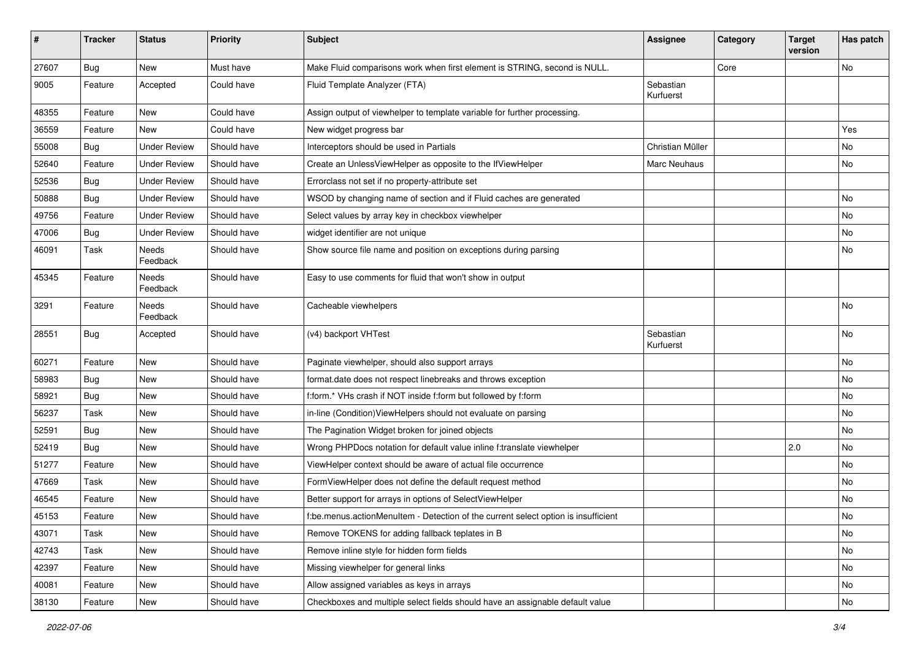| $\pmb{\#}$ | <b>Tracker</b> | <b>Status</b>            | <b>Priority</b> | Subject                                                                            | Assignee               | Category | <b>Target</b><br>version | Has patch |
|------------|----------------|--------------------------|-----------------|------------------------------------------------------------------------------------|------------------------|----------|--------------------------|-----------|
| 27607      | Bug            | New                      | Must have       | Make Fluid comparisons work when first element is STRING, second is NULL.          |                        | Core     |                          | No        |
| 9005       | Feature        | Accepted                 | Could have      | Fluid Template Analyzer (FTA)                                                      | Sebastian<br>Kurfuerst |          |                          |           |
| 48355      | Feature        | New                      | Could have      | Assign output of viewhelper to template variable for further processing.           |                        |          |                          |           |
| 36559      | Feature        | New                      | Could have      | New widget progress bar                                                            |                        |          |                          | Yes       |
| 55008      | Bug            | <b>Under Review</b>      | Should have     | Interceptors should be used in Partials                                            | Christian Müller       |          |                          | <b>No</b> |
| 52640      | Feature        | <b>Under Review</b>      | Should have     | Create an UnlessViewHelper as opposite to the IfViewHelper                         | Marc Neuhaus           |          |                          | No        |
| 52536      | <b>Bug</b>     | <b>Under Review</b>      | Should have     | Errorclass not set if no property-attribute set                                    |                        |          |                          |           |
| 50888      | Bug            | <b>Under Review</b>      | Should have     | WSOD by changing name of section and if Fluid caches are generated                 |                        |          |                          | No        |
| 49756      | Feature        | <b>Under Review</b>      | Should have     | Select values by array key in checkbox viewhelper                                  |                        |          |                          | No        |
| 47006      | Bug            | <b>Under Review</b>      | Should have     | widget identifier are not unique                                                   |                        |          |                          | No        |
| 46091      | Task           | Needs<br>Feedback        | Should have     | Show source file name and position on exceptions during parsing                    |                        |          |                          | No        |
| 45345      | Feature        | <b>Needs</b><br>Feedback | Should have     | Easy to use comments for fluid that won't show in output                           |                        |          |                          |           |
| 3291       | Feature        | Needs<br>Feedback        | Should have     | Cacheable viewhelpers                                                              |                        |          |                          | <b>No</b> |
| 28551      | Bug            | Accepted                 | Should have     | (v4) backport VHTest                                                               | Sebastian<br>Kurfuerst |          |                          | <b>No</b> |
| 60271      | Feature        | New                      | Should have     | Paginate viewhelper, should also support arrays                                    |                        |          |                          | <b>No</b> |
| 58983      | Bug            | New                      | Should have     | format.date does not respect linebreaks and throws exception                       |                        |          |                          | No        |
| 58921      | Bug            | New                      | Should have     | f:form.* VHs crash if NOT inside f:form but followed by f:form                     |                        |          |                          | <b>No</b> |
| 56237      | Task           | New                      | Should have     | in-line (Condition) ViewHelpers should not evaluate on parsing                     |                        |          |                          | No        |
| 52591      | <b>Bug</b>     | New                      | Should have     | The Pagination Widget broken for joined objects                                    |                        |          |                          | No        |
| 52419      | Bug            | <b>New</b>               | Should have     | Wrong PHPDocs notation for default value inline f:translate viewhelper             |                        |          | 2.0                      | No        |
| 51277      | Feature        | New                      | Should have     | ViewHelper context should be aware of actual file occurrence                       |                        |          |                          | No        |
| 47669      | Task           | New                      | Should have     | FormViewHelper does not define the default request method                          |                        |          |                          | No        |
| 46545      | Feature        | <b>New</b>               | Should have     | Better support for arrays in options of SelectViewHelper                           |                        |          |                          | No        |
| 45153      | Feature        | New                      | Should have     | f:be.menus.actionMenuItem - Detection of the current select option is insufficient |                        |          |                          | No        |
| 43071      | Task           | New                      | Should have     | Remove TOKENS for adding fallback teplates in B                                    |                        |          |                          | No        |
| 42743      | Task           | New                      | Should have     | Remove inline style for hidden form fields                                         |                        |          |                          | No        |
| 42397      | Feature        | New                      | Should have     | Missing viewhelper for general links                                               |                        |          |                          | No        |
| 40081      | Feature        | New                      | Should have     | Allow assigned variables as keys in arrays                                         |                        |          |                          | No        |
| 38130      | Feature        | New                      | Should have     | Checkboxes and multiple select fields should have an assignable default value      |                        |          |                          | No        |